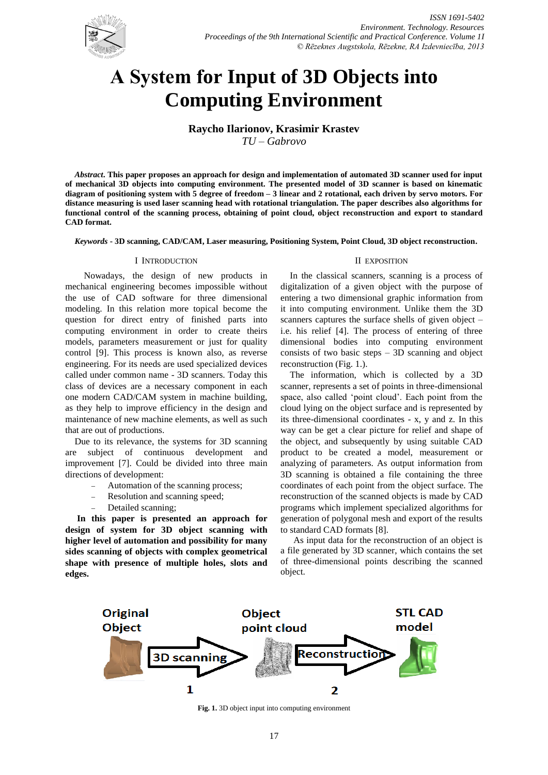

# **А System for Input of 3D Objects into Computing Environment**

**Raycho Ilarionov, Krasimir Krastev**

*TU – Gabrovo*

*Abstract***. This paper proposes an approach for design and implementation of automated 3D scanner used for input of mechanical 3D objects into computing environment. The presented model of 3D scanner is based on kinematic diagram of positioning system with 5 degree of freedom – 3 linear and 2 rotational, each driven by servo motors. For distance measuring is used laser scanning head with rotational triangulation. The paper describes also algorithms for functional control of the scanning process, obtaining of point cloud, object reconstruction and export to standard CAD format.**

*Keywords* **- 3D scanning, CAD/CAM, Laser measuring, Positioning System, Point Cloud, 3D object reconstruction.**

### I INTRODUCTION

 Nowadays, the design of new products in mechanical engineering becomes impossible without the use of CAD software for three dimensional modeling. In this relation more topical become the question for direct entry of finished parts into computing environment in order to create theirs models, parameters measurement or just for quality control [9]. This process is known also, as reverse engineering. For its needs are used specialized devices called under common name - 3D scanners. Today this class of devices are a necessary component in each one modern CAD/CAM system in machine building, as they help to improve efficiency in the design and maintenance of new machine elements, as well as such that are out of productions.

Due to its relevance, the systems for 3D scanning are subject of continuous development and improvement [7]. Could be divided into three main directions of development:

- Automation of the scanning process;
- Resolution and scanning speed;
- Detailed scanning;

**In this paper is presented an approach for design of system for 3D object scanning with higher level of automation and possibility for many sides scanning of objects with complex geometrical shape with presence of multiple holes, slots and edges.**

### II EXPOSITION

In the classical scanners, scanning is a process of digitalization of a given object with the purpose of entering a two dimensional graphic information from it into computing environment. Unlike them the 3D scanners captures the surface shells of given object – i.e. his relief [4]. The process of entering of three dimensional bodies into computing environment consists of two basic steps – 3D scanning and object reconstruction (Fig. 1.).

The information, which is collected by a 3D scanner, represents a set of points in three-dimensional space, also called 'point cloud'. Each point from the cloud lying on the object surface and is represented by its three-dimensional coordinates - x, y and z. In this way can be get a clear picture for relief and shape of the object, and subsequently by using suitable CAD product to be created a model, measurement or analyzing of parameters. As output information from 3D scanning is obtained a file containing the three coordinates of each point from the object surface. The reconstruction of the scanned objects is made by CAD programs which implement specialized algorithms for generation of polygonal mesh and export of the results to standard CAD formats [8].

As input data for the reconstruction of an object is a file generated by 3D scanner, which contains the set of three-dimensional points describing the scanned object.



**Fig. 1.** 3D object input into computing environment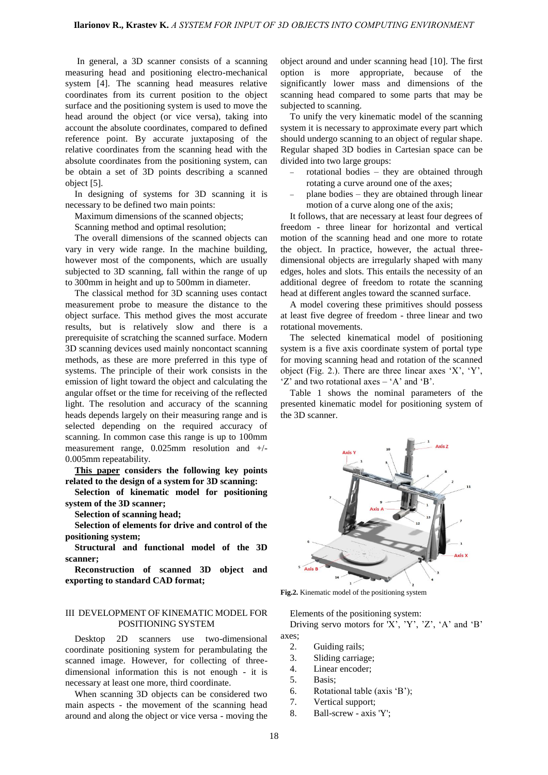In general, a 3D scanner consists of a scanning measuring head and positioning electro-mechanical system [4]. The scanning head measures relative coordinates from its current position to the object surface and the positioning system is used to move the head around the object (or vice versa), taking into account the absolute coordinates, compared to defined reference point. By accurate juxtaposing of the relative coordinates from the scanning head with the absolute coordinates from the positioning system, can be obtain a set of 3D points describing a scanned object [5].

In designing of systems for 3D scanning it is necessary to be defined two main points:

Maximum dimensions of the scanned objects;

Scanning method and optimal resolution;

The overall dimensions of the scanned objects can vary in very wide range. In the machine building, however most of the components, which are usually subjected to 3D scanning, fall within the range of up to 300mm in height and up to 500mm in diameter.

The classical method for 3D scanning uses contact measurement probe to measure the distance to the object surface. This method gives the most accurate results, but is relatively slow and there is a prerequisite of scratching the scanned surface. Modern 3D scanning devices used mainly noncontact scanning methods, as these are more preferred in this type of systems. The principle of their work consists in the emission of light toward the object and calculating the angular offset or the time for receiving of the reflected light. The resolution and accuracy of the scanning heads depends largely on their measuring range and is selected depending on the required accuracy of scanning. In common case this range is up to 100mm measurement range, 0.025mm resolution and +/- 0.005mm repeatability.

**This paper considers the following key points related to the design of a system for 3D scanning:**

**Selection of kinematic model for positioning system of the 3D scanner;**

**Selection of scanning head;**

**Selection of elements for drive and control of the positioning system;**

**Structural and functional model of the 3D scanner;**

**Reconstruction of scanned 3D object and exporting to standard CAD format;**

## III DEVELOPMENT OF KINEMATIC MODEL FOR POSITIONING SYSTEM

Desktop 2D scanners use two-dimensional coordinate positioning system for perambulating the scanned image. However, for collecting of threedimensional information this is not enough - it is necessary at least one more, third coordinate.

When scanning 3D objects can be considered two main aspects - the movement of the scanning head around and along the object or vice versa - moving the object around and under scanning head [10]. The first option is more appropriate, because of the significantly lower mass and dimensions of the scanning head compared to some parts that may be subjected to scanning.

To unify the very kinematic model of the scanning system it is necessary to approximate every part which should undergo scanning to an object of regular shape. Regular shaped 3D bodies in Cartesian space can be divided into two large groups:

- rotational bodies they are obtained through rotating a curve around one of the axes;
- plane bodies they are obtained through linear motion of a curve along one of the axis;

It follows, that are necessary at least four degrees of freedom - three linear for horizontal and vertical motion of the scanning head and one more to rotate the object. In practice, however, the actual threedimensional objects are irregularly shaped with many edges, holes and slots. This entails the necessity of an additional degree of freedom to rotate the scanning head at different angles toward the scanned surface.

A model covering these primitives should possess at least five degree of freedom - three linear and two rotational movements.

The selected kinematical model of positioning system is a five axis coordinate system of portal type for moving scanning head and rotation of the scanned object (Fig. 2.). There are three linear axes 'X', 'Y', 'Z' and two rotational axes – 'A' and 'B'.

Table 1 shows the nominal parameters of the presented kinematic model for positioning system of the 3D scanner.



**Fig.2.** Kinematic model of the positioning system

Elements of the positioning system: Driving servo motors for 'X', 'Y', 'Z', 'A' and 'B' axes;

- 2. Guiding rails;
- 3. Sliding carriage;
- 4. Linear encoder;
- 5. Basis;
- 6. Rotational table (axis 'B');
- 7. Vertical support;
- 8. Ball-screw axis 'Y';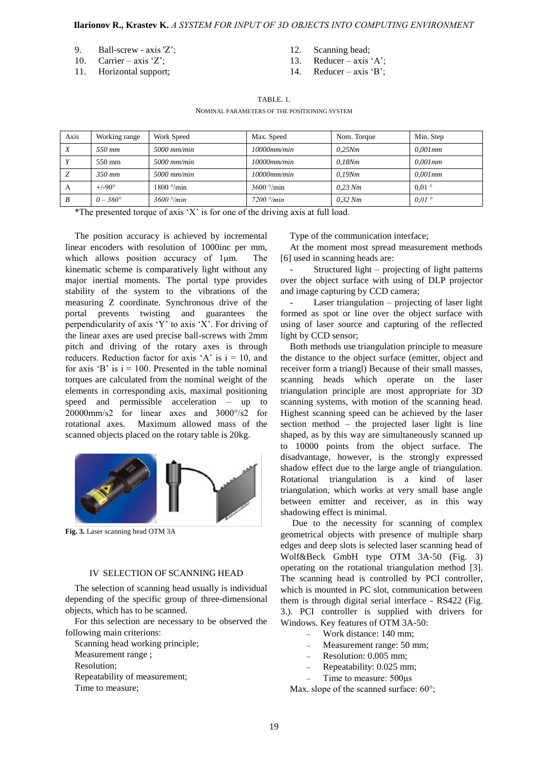### **Ilarionov R., Krastev K.** *А SYSTEM FOR INPUT OF 3D OBJECTS INTO COMPUTING ENVIRONMENT*

- 9. Ball-screw axis 'Z';
- 10. Carrier axis 'Z';
- 11. Horizontal support;
- 12. Scanning head;
- 13. Reducer axis 'A';
- 14. Reducer axis 'B';

## TABLE. 1.

#### NOMINAL PARAMETERS OF THE POSITIONING SYSTEM

| Axis | Working range     | Work Speed                | Max. Speed                | Nom. Torque | Min. Step      |
|------|-------------------|---------------------------|---------------------------|-------------|----------------|
| X    | 5.50 mm           | $5000$ mm/min             | $10000$ mm/min            | 0.25Nm      | $0.001$ mm     |
|      | 550 mm            | $5000$ mm/min             | $10000$ mm/min            | 0.18Nm      | $0.001$ mm     |
| Z    | $350$ mm          | $5000$ mm/min             | $10000$ mm/min            | 0.19Nm      | $0.001$ mm     |
| А    | $+/-90^{\circ}$   | $1800^{\circ}/\text{min}$ | $3600^{\circ}/\text{min}$ | $0.23$ Nm   | $0.01\degree$  |
| B    | $0 - 360^{\circ}$ | $3600$ $\degree$ /min     | $7200$ $\degree$ /min     | $0.32$ Nm   | $0.01^{\circ}$ |

\*The presented torque of axis 'X' is for one of the driving axis at full load.

The position accuracy is achieved by incremental linear encoders with resolution of 1000inc per mm, which allows position accuracy of  $1 \mu m$ . The kinematic scheme is comparatively light without any major inertial moments. The portal type provides stability of the system to the vibrations of the measuring Z coordinate. Synchronous drive of the portal prevents twisting and guarantees the perpendicularity of axis 'Y' to axis 'X'. For driving of the linear axes are used precise ball-screws with 2mm pitch and driving of the rotary axes is through reducers. Reduction factor for axis 'A' is  $i = 10$ , and for axis 'B' is  $i = 100$ . Presented in the table nominal torques are calculated from the nominal weight of the elements in corresponding axis, maximal positioning speed and permissible acceleration – up to 20000mm/s2 for linear axes and 3000°/s2 for rotational axes. Maximum allowed mass of the scanned objects placed on the rotary table is 20kg.



**Fig. 3.** Laser scanning head OTM 3A

## IV SELECTION OF SCANNING HEAD

The selection of scanning head usually is individual depending of the specific group of three-dimensional objects, which has to be scanned.

For this selection are necessary to be observed the following main criterions:

Scanning head working principle; Measurement range ; Resolution; Repeatability of measurement; Time to measure;

Type of the communication interface;

At the moment most spread measurement methods [6] used in scanning heads are:

Structured light – projecting of light patterns over the object surface with using of DLP projector and image capturing by CCD camera;

Laser triangulation  $-$  projecting of laser light formed as spot or line over the object surface with using of laser source and capturing of the reflected light by CCD sensor;

Both methods use triangulation principle to measure the distance to the object surface (emitter, object and receiver form a triangl) Because of their small masses, scanning heads which operate on the laser triangulation principle are most appropriate for 3D scanning systems, with motion of the scanning head. Highest scanning speed can be achieved by the laser section method – the projected laser light is line shaped, as by this way are simultaneously scanned up to 10000 points from the object surface. The disadvantage, however, is the strongly expressed shadow effect due to the large angle of triangulation. Rotational triangulation is a kind of laser triangulation, which works at very small base angle between emitter and receiver, as in this way shadowing effect is minimal.

Due to the necessity for scanning of complex geometrical objects with presence of multiple sharp edges and deep slots is selected laser scanning head of Wolf&Beck GmbH type OTM 3A-50 (Fig. 3) operating on the rotational triangulation method [3]. The scanning head is controlled by PCI controller, which is mounted in PC slot, communication between them is through digital serial interface - RS422 (Fig. 3.). PCI controller is supplied with drivers for Windows. Key features of OTM 3A-50:

- Work distance: 140 mm;
- Measurement range: 50 mm;
- Resolution: 0.005 mm;
- Repeatability: 0.025 mm;
- Time to measure: 500μs

Max. slope of the scanned surface: 60°;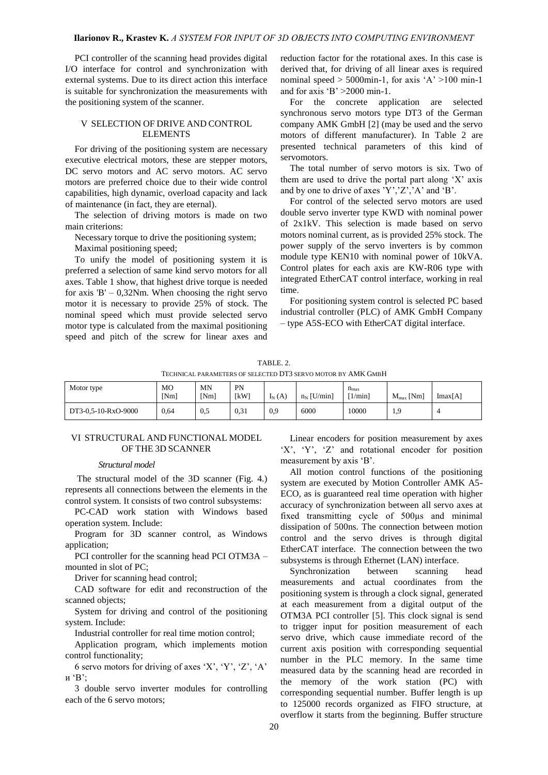PCI controller of the scanning head provides digital I/O interface for control and synchronization with external systems. Due to its direct action this interface is suitable for synchronization the measurements with the positioning system of the scanner.

#### V SELECTION OF DRIVE AND CONTROL ELEMENTS

For driving of the positioning system are necessary executive electrical motors, these are stepper motors, DC servo motors and AC servo motors. AC servo motors are preferred choice due to their wide control capabilities, high dynamic, overload capacity and lack of maintenance (in fact, they are eternal).

The selection of driving motors is made on two main criterions:

Necessary torque to drive the positioning system;

Maximal positioning speed;

To unify the model of positioning system it is preferred a selection of same kind servo motors for all axes. Table 1 show, that highest drive torque is needed for axis  $B' - 0,32Nm$ . When choosing the right servo motor it is necessary to provide 25% of stock. The nominal speed which must provide selected servo motor type is calculated from the maximal positioning speed and pitch of the screw for linear axes and reduction factor for the rotational axes. In this case is derived that, for driving of all linear axes is required nominal speed  $> 5000$  min-1, for axis 'A'  $>100$  min-1 and for axis 'B'  $>2000$  min-1.

For the concrete application are selected synchronous servo motors type DT3 of the German company AMK GmbH [2] (may be used and the servo motors of different manufacturer). In Table 2 are presented technical parameters of this kind of servomotors.

The total number of servo motors is six. Two of them are used to drive the portal part along 'X' axis and by one to drive of axes 'Y','Z','A' and 'B'.

For control of the selected servo motors are used double servo inverter type KWD with nominal power of 2x1kV. This selection is made based on servo motors nominal current, as is provided 25% stock. The power supply of the servo inverters is by common module type KEN10 with nominal power of 10kVA. Control plates for each axis are KW-R06 type with integrated EtherCAT control interface, working in real time.

For positioning system control is selected PC based industrial controller (PLC) of AMK GmbH Company – type A5S-ECO with EtherCAT digital interface.

TABLE. 2. TECHNICAL PARAMETERS OF SELECTED DT3 SERVO MOTOR BY AMK GMBH Motor type MO [Nm] MN [Nm] PN  $[KW]$   $I_N(A)$   $n_N$  [U/min]  $n_{\rm{max}}$  $[1/\text{min}]$   $M_{\text{max}}$  [Nm]  $\text{Imax}[A]$ DT3-0,5-10-RxO-9000 0,64 0,5 0,31 0,9 6000 10000 1,9 4

## VI STRUCTURAL AND FUNCTIONAL MODEL OF THE 3D SCANNER

*Structural model*

The structural model of the 3D scanner (Fig. 4.) represents all connections between the elements in the control system. It consists of two control subsystems:

PC-CAD work station with Windows based operation system. Include:

Program for 3D scanner control, as Windows application;

PCI controller for the scanning head PCI OTM3A – mounted in slot of PC;

Driver for scanning head control;

CAD software for edit and reconstruction of the scanned objects;

System for driving and control of the positioning system. Include:

Industrial controller for real time motion control;

Application program, which implements motion control functionality;

6 servo motors for driving of axes 'X', 'Y', 'Z', 'A' и  $B$ ;

3 double servo inverter modules for controlling each of the 6 servo motors;

Linear encoders for position measurement by axes 'X', 'Y', 'Z' and rotational encoder for position measurement by axis 'B'.

All motion control functions of the positioning system are executed by Motion Controller AMK A5- ECO, as is guaranteed real time operation with higher accuracy of synchronization between all servo axes at fixed transmitting cycle of 500µs and minimal dissipation of 500ns. The connection between motion control and the servo drives is through digital EtherCAT interface. The connection between the two subsystems is through Ethernet (LAN) interface.

Synchronization between scanning head measurements and actual coordinates from the positioning system is through a clock signal, generated at each measurement from a digital output of the OTM3A PCI controller [5]. This clock signal is send to trigger input for position measurement of each servo drive, which cause immediate record of the current axis position with corresponding sequential number in the PLC memory. In the same time measured data by the scanning head are recorded in the memory of the work station (PC) with corresponding sequential number. Buffer length is up to 125000 records organized as FIFO structure, at overflow it starts from the beginning. Buffer structure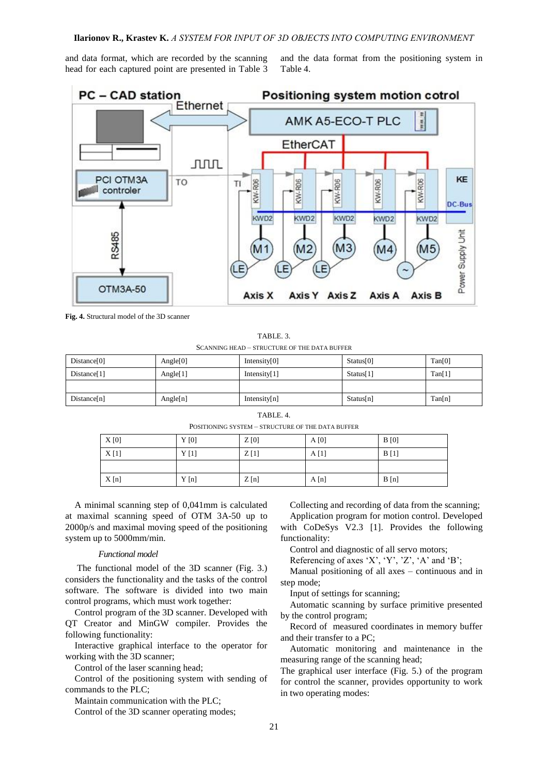and data format, which are recorded by the scanning head for each captured point are presented in Table 3 and the data format from the positioning system in Table 4.



**Fig. 4.** Structural model of the 3D scanner

TABLE. 3. SCANNING HEAD – STRUCTURE OF THE DATA BUFFER

| Distance[0]             | Angle $[0]$ | Intensity $[0]$ | Status <sup>[0]</sup> | Tan[0] |
|-------------------------|-------------|-----------------|-----------------------|--------|
| Distance <sup>[1]</sup> | Angle $[1]$ | Intensity $[1]$ | Status[1]             | Tan[1] |
|                         |             |                 |                       |        |
| Distance[n]             | Angle[n]    | Intensity $[n]$ | Status[n]             | Tan[n] |

#### TABLE. 4.

POSITIONING SYSTEM – STRUCTURE OF THE DATA BUFFER

| X[0] | Y[0] | Z[0] | A[0] | B[0] |
|------|------|------|------|------|
| X[1] | Y[1] | Z[1] | A[1] | B[1] |
|      |      |      |      |      |
| X[n] | Y[n] | Z[n] | A[n] | B[n] |

A minimal scanning step of 0,041mm is calculated at maximal scanning speed of OTM 3A-50 up to 2000p/s and maximal moving speed of the positioning system up to 5000mm/min.

#### *Functional model*

The functional model of the 3D scanner (Fig. 3.) considers the functionality and the tasks of the control software. The software is divided into two main control programs, which must work together:

Control program of the 3D scanner. Developed with QT Creator and MinGW compiler. Provides the following functionality:

Interactive graphical interface to the operator for working with the 3D scanner;

Control of the laser scanning head;

Control of the positioning system with sending of commands to the PLC;

Maintain communication with the PLC;

Control of the 3D scanner operating modes;

Collecting and recording of data from the scanning;

Application program for motion control. Developed with CoDeSys V2.3 [1]. Provides the following functionality:

Control and diagnostic of all servo motors;

Referencing of axes 'X', 'Y', 'Z', 'A' and 'B';

Manual positioning of all axes – continuous and in step mode;

Input of settings for scanning;

Automatic scanning by surface primitive presented by the control program;

Record of measured coordinates in memory buffer and their transfer to a PC;

Automatic monitoring and maintenance in the measuring range of the scanning head;

The graphical user interface (Fig. 5.) of the program for control the scanner, provides opportunity to work in two operating modes: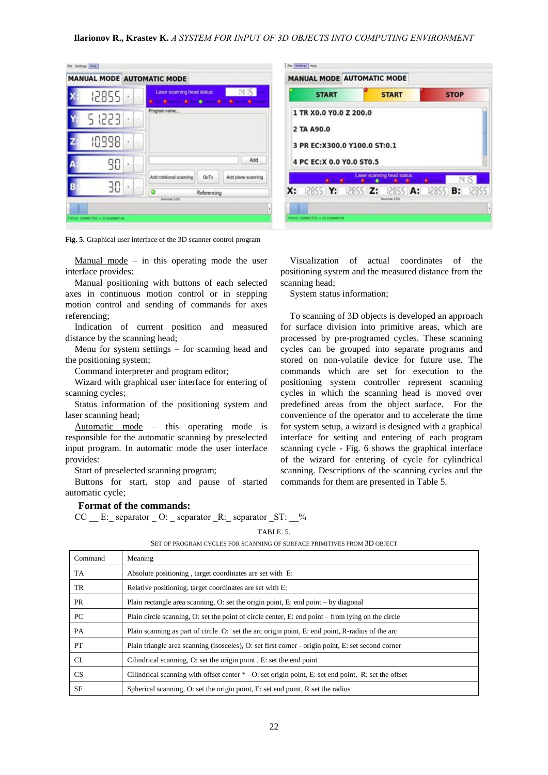| 12855  |  | 14.15<br>Laser scanning head status:                  |
|--------|--|-------------------------------------------------------|
| 5 1223 |  | Program name:                                         |
| 10998  |  |                                                       |
| 90     |  | Add                                                   |
|        |  | Add plane scanning<br>Add rotational scanning<br>GoTo |



**Fig. 5.** Graphical user interface of the 3D scanner control program

Manual mode – in this operating mode the user interface provides:

Manual positioning with buttons of each selected axes in continuous motion control or in stepping motion control and sending of commands for axes referencing;

Indication of current position and measured distance by the scanning head;

Menu for system settings – for scanning head and the positioning system;

Command interpreter and program editor;

Wizard with graphical user interface for entering of scanning cycles;

Status information of the positioning system and laser scanning head;

Automatic mode – this operating mode is responsible for the automatic scanning by preselected input program. In automatic mode the user interface provides:

Start of preselected scanning program;

Buttons for start, stop and pause of started automatic cycle;

## **Format of the commands:**

CC \_\_ E: \_ separator \_ O: \_ separator \_R: \_ separator \_ST: \_\_%

TABLE. 5.

| Command   | Meaning                                                                                                |
|-----------|--------------------------------------------------------------------------------------------------------|
| TA        | Absolute positioning, target coordinates are set with E.                                               |
| TR        | Relative positioning, target coordinates are set with E:                                               |
| PR        | Plain rectangle area scanning, O: set the origin point, E: end point – by diagonal                     |
| <b>PC</b> | Plain circle scanning, O: set the point of circle center, E: end point $-$ from lying on the circle    |
| PA        | Plain scanning as part of circle O: set the arc origin point, E: end point, R-radius of the arc        |
| <b>PT</b> | Plain triangle area scanning (isosceles), O: set first corner - origin point, E: set second corner     |
| CL.       | Cilindrical scanning, O: set the origin point, E: set the end point                                    |
| <b>CS</b> | Cilindrical scanning with offset center $*$ - O: set origin point, E: set end point, R: set the offset |
| <b>SF</b> | Spherical scanning, O: set the origin point, E: set end point, R set the radius                        |

SET OF PROGRAM CYCLES FOR SCANNING OF SURFACE PRIMITIVES FROM 3D OBJECT

Visualization of actual coordinates of the positioning system and the measured distance from the scanning head;

System status information;

To scanning of 3D objects is developed an approach for surface division into primitive areas, which are processed by pre-programed cycles. These scanning cycles can be grouped into separate programs and stored on non-volatile device for future use. The commands which are set for execution to the positioning system controller represent scanning cycles in which the scanning head is moved over predefined areas from the object surface. For the convenience of the operator and to accelerate the time for system setup, a wizard is designed with a graphical interface for setting and entering of each program scanning cycle - Fig. 6 shows the graphical interface of the wizard for entering of cycle for cylindrical scanning. Descriptions of the scanning cycles and the commands for them are presented in Table 5.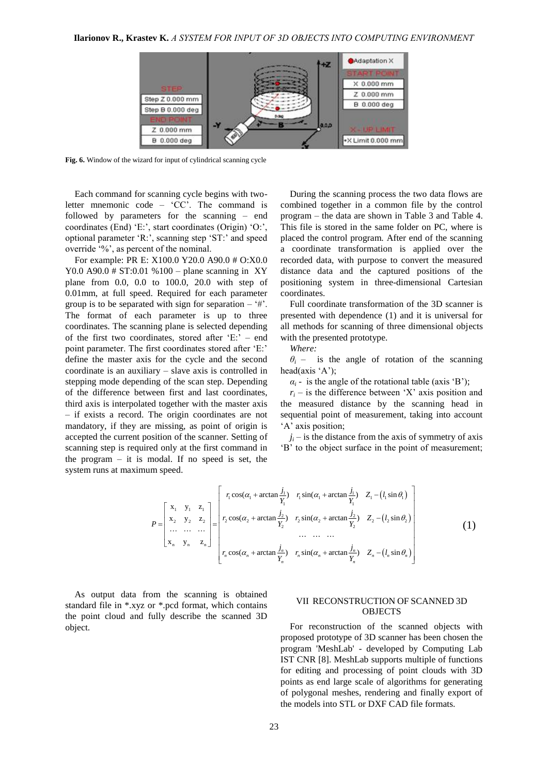

**Fig. 6.** Window of the wizard for input of cylindrical scanning cycle

Each command for scanning cycle begins with twoletter mnemonic code – 'CC'. The command is followed by parameters for the scanning – end coordinates (End) 'E:', start coordinates (Origin) 'O:', optional parameter 'R:', scanning step 'ST:' and speed override '%', as percent of the nominal.

For example: PR E: X100.0 Y20.0 A90.0 # O:X0.0 Y0.0 A90.0  $\#$  ST:0.01 %100 – plane scanning in XY plane from 0.0, 0.0 to 100.0, 20.0 with step of 0.01mm, at full speed. Required for each parameter group is to be separated with sign for separation  $-$  '#'. The format of each parameter is up to three coordinates. The scanning plane is selected depending of the first two coordinates, stored after 'E:' – end point parameter. The first coordinates stored after 'E:' define the master axis for the cycle and the second coordinate is an auxiliary – slave axis is controlled in stepping mode depending of the scan step. Depending of the difference between first and last coordinates, third axis is interpolated together with the master axis – if exists a record. The origin coordinates are not mandatory, if they are missing, as point of origin is accepted the current position of the scanner. Setting of scanning step is required only at the first command in the program  $-$  it is modal. If no speed is set, the system runs at maximum speed.

During the scanning process the two data flows are combined together in a common file by the control program – the data are shown in Table 3 and Table 4. This file is stored in the same folder on PC, where is placed the control program. After end of the scanning a coordinate transformation is applied over the recorded data, with purpose to convert the measured distance data and the captured positions of the positioning system in three-dimensional Cartesian coordinates.

Full coordinate transformation of the 3D scanner is presented with dependence (1) and it is universal for all methods for scanning of three dimensional objects with the presented prototype.

*Where:*

 $\theta$ <sup>*i*</sup> – is the angle of rotation of the scanning head(axis 'A');

 $\alpha_i$  - is the angle of the rotational table (axis 'B');

 $r_i$  – is the difference between 'X' axis position and the measured distance by the scanning head in sequential point of measurement, taking into account 'A' axis position;

 $j_i$  – is the distance from the axis of symmetry of axis 'B' to the object surface in the point of measurement;

$$
P = \begin{bmatrix} x_1 & y_1 & z_1 \\ x_2 & y_2 & z_2 \\ \cdots & \cdots & \cdots \\ x_n & y_n & z_n \end{bmatrix} = \begin{bmatrix} r_1 \cos(\alpha_1 + \arctan \frac{j_1}{Y_1}) & r_1 \sin(\alpha_1 + \arctan \frac{j_1}{Y_1}) & Z_1 - (l_1 \sin \theta_1) \\ r_2 \cos(\alpha_2 + \arctan \frac{j_2}{Y_2}) & r_2 \sin(\alpha_2 + \arctan \frac{j_2}{Y_2}) & Z_2 - (l_2 \sin \theta_2) \\ \vdots & \vdots & \ddots & \vdots \\ r_n \cos(\alpha_n + \arctan \frac{j_n}{Y_n}) & r_n \sin(\alpha_n + \arctan \frac{j_n}{Y_n}) & Z_n - (l_n \sin \theta_n) \end{bmatrix}
$$
(1)

As output data from the scanning is obtained standard file in \*.xyz or \*.pcd format, which contains the point cloud and fully describe the scanned 3D object.

## VII RECONSTRUCTION OF SCANNED 3D **OBJECTS**

For reconstruction of the scanned objects with proposed prototype of 3D scanner has been chosen the program 'MeshLab' - developed by Computing Lab IST CNR [8]. MeshLab supports multiple of functions for editing and processing of point clouds with 3D points as end large scale of algorithms for generating of polygonal meshes, rendering and finally export of the models into STL or DXF CAD file formats.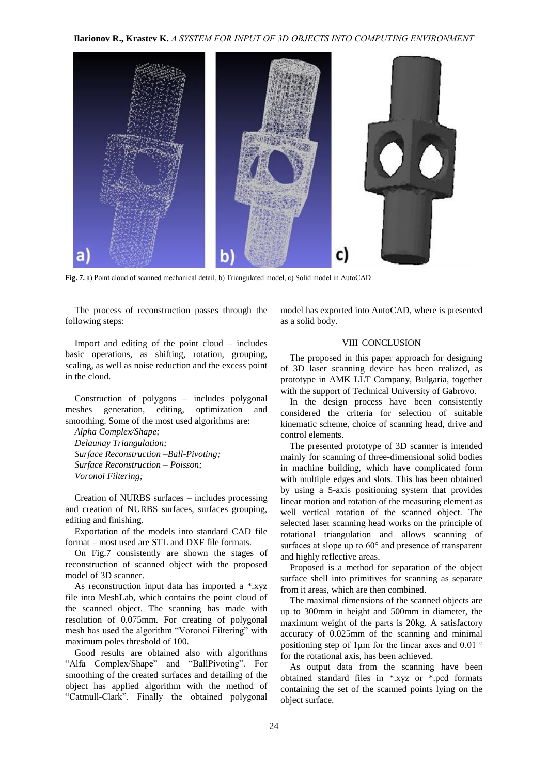**Ilarionov R., Krastev K.** *А SYSTEM FOR INPUT OF 3D OBJECTS INTO COMPUTING ENVIRONMENT*



**Fig. 7.** а) Point cloud of scanned mechanical detail, b) Triangulated model, c) Solid model in AutoCAD

The process of reconstruction passes through the following steps:

Import and editing of the point cloud – includes basic operations, as shifting, rotation, grouping, scaling, as well as noise reduction and the excess point in the cloud.

Construction of polygons – includes polygonal meshes generation, editing, optimization and smoothing. Some of the most used algorithms are:

*Alpha Complex/Shape; Delaunay Triangulation; Surface Reconstruction –Ball-Pivoting; Surface Reconstruction – Poisson; Voronoi Filtering;*

Creation of NURBS surfaces – includes processing and creation of NURBS surfaces, surfaces grouping, editing and finishing.

Exportation of the models into standard CAD file format – most used are STL and DXF file formats.

On Fig.7 consistently are shown the stages of reconstruction of scanned object with the proposed model of 3D scanner.

As reconstruction input data has imported a \*.xyz file into MeshLab, which contains the point cloud of the scanned object. The scanning has made with resolution of 0.075mm. For creating of polygonal mesh has used the algorithm "Voronoi Filtering" with maximum poles threshold of 100.

Good results are obtained also with algorithms "Alfa Complex/Shape" and "BallPivoting". For smoothing of the created surfaces and detailing of the object has applied algorithm with the method of "Catmull-Clark". Finally the obtained polygonal model has exported into AutoCAD, where is presented as a solid body.

## VIII CONCLUSION

The proposed in this paper approach for designing of 3D laser scanning device has been realized, as prototype in AMK LLT Company, Bulgaria, together with the support of Technical University of Gabrovo.

In the design process have been consistently considered the criteria for selection of suitable kinematic scheme, choice of scanning head, drive and control elements.

The presented prototype of 3D scanner is intended mainly for scanning of three-dimensional solid bodies in machine building, which have complicated form with multiple edges and slots. This has been obtained by using a 5-axis positioning system that provides linear motion and rotation of the measuring element as well vertical rotation of the scanned object. The selected laser scanning head works on the principle of rotational triangulation and allows scanning of surfaces at slope up to 60° and presence of transparent and highly reflective areas.

Proposed is a method for separation of the object surface shell into primitives for scanning as separate from it areas, which are then combined.

The maximal dimensions of the scanned objects are up to 300mm in height and 500mm in diameter, the maximum weight of the parts is 20kg. A satisfactory accuracy of 0.025mm of the scanning and minimal positioning step of 1μm for the linear axes and 0.01 ° for the rotational axis, has been achieved.

As output data from the scanning have been obtained standard files in \*.xyz or \*.pcd formats containing the set of the scanned points lying on the object surface.